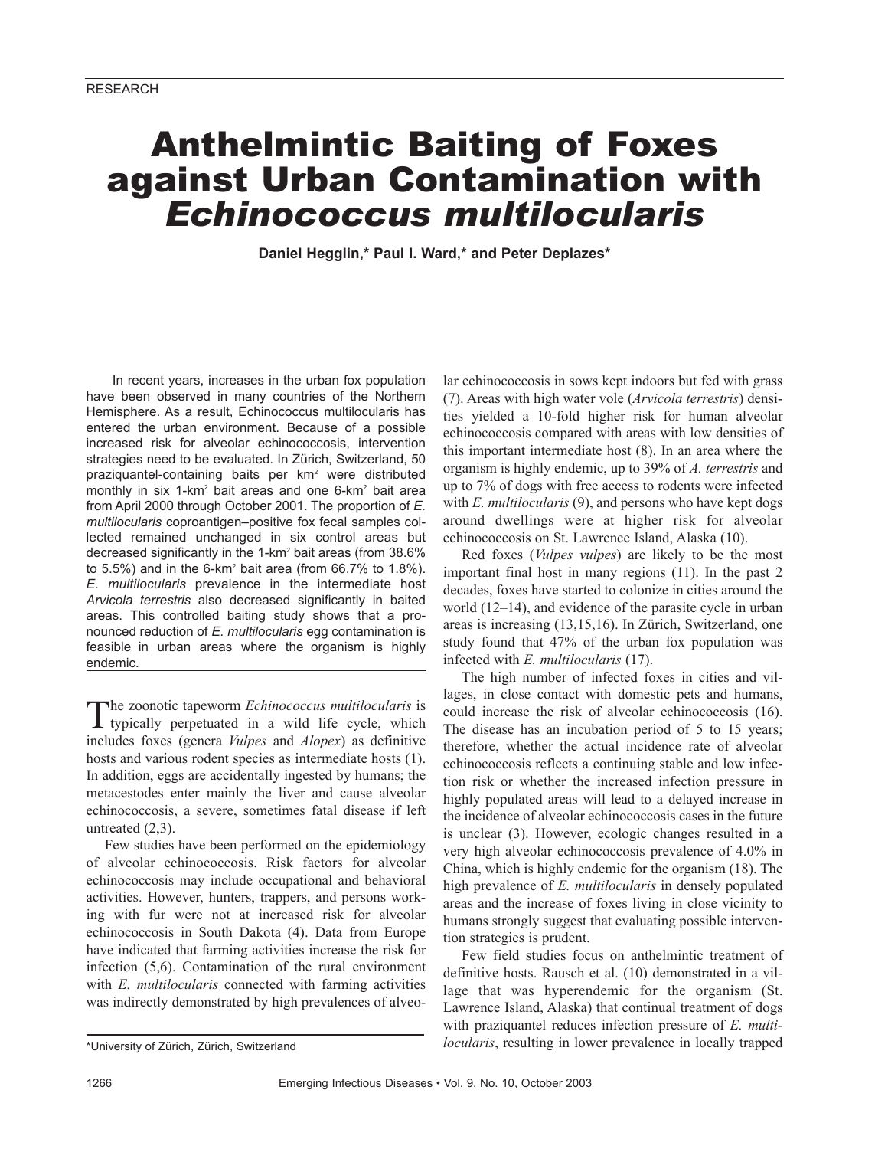# Anthelmintic Baiting of Foxes against Urban Contamination with *Echinococcus multilocularis*

**Daniel Hegglin,\* Paul I. Ward,\* and Peter Deplazes\***

In recent years, increases in the urban fox population have been observed in many countries of the Northern Hemisphere. As a result, Echinococcus multilocularis has entered the urban environment. Because of a possible increased risk for alveolar echinococcosis, intervention strategies need to be evaluated. In Zürich, Switzerland, 50 praziquantel-containing baits per km2 were distributed monthly in six 1-km<sup>2</sup> bait areas and one 6-km<sup>2</sup> bait area from April 2000 through October 2001. The proportion of *E. multilocularis* coproantigen–positive fox fecal samples collected remained unchanged in six control areas but decreased significantly in the 1-km<sup>2</sup> bait areas (from 38.6% to  $5.5\%$ ) and in the  $6\text{-}km^2$  bait area (from  $66.7\%$  to  $1.8\%$ ). *E. multilocularis* prevalence in the intermediate host *Arvicola terrestris* also decreased significantly in baited areas. This controlled baiting study shows that a pronounced reduction of *E. multilocularis* egg contamination is feasible in urban areas where the organism is highly endemic.

The zoonotic tapeworm *Echinococcus multilocularis* is typically perpetuated in a wild life cycle, which includes foxes (genera *Vulpes* and *Alopex*) as definitive hosts and various rodent species as intermediate hosts (1). In addition, eggs are accidentally ingested by humans; the metacestodes enter mainly the liver and cause alveolar echinococcosis, a severe, sometimes fatal disease if left untreated (2,3).

Few studies have been performed on the epidemiology of alveolar echinococcosis. Risk factors for alveolar echinococcosis may include occupational and behavioral activities. However, hunters, trappers, and persons working with fur were not at increased risk for alveolar echinococcosis in South Dakota (4). Data from Europe have indicated that farming activities increase the risk for infection (5,6). Contamination of the rural environment with *E. multilocularis* connected with farming activities was indirectly demonstrated by high prevalences of alveo-

lar echinococcosis in sows kept indoors but fed with grass (7). Areas with high water vole (*Arvicola terrestris*) densities yielded a 10-fold higher risk for human alveolar echinococcosis compared with areas with low densities of this important intermediate host (8). In an area where the organism is highly endemic, up to 39% of *A. terrestris* and up to 7% of dogs with free access to rodents were infected with *E. multilocularis* (9), and persons who have kept dogs around dwellings were at higher risk for alveolar echinococcosis on St. Lawrence Island, Alaska (10).

Red foxes (*Vulpes vulpes*) are likely to be the most important final host in many regions (11). In the past 2 decades, foxes have started to colonize in cities around the world (12–14), and evidence of the parasite cycle in urban areas is increasing (13,15,16). In Zürich, Switzerland, one study found that 47% of the urban fox population was infected with *E. multilocularis* (17).

The high number of infected foxes in cities and villages, in close contact with domestic pets and humans, could increase the risk of alveolar echinococcosis (16). The disease has an incubation period of 5 to 15 years; therefore, whether the actual incidence rate of alveolar echinococcosis reflects a continuing stable and low infection risk or whether the increased infection pressure in highly populated areas will lead to a delayed increase in the incidence of alveolar echinococcosis cases in the future is unclear (3). However, ecologic changes resulted in a very high alveolar echinococcosis prevalence of 4.0% in China, which is highly endemic for the organism (18). The high prevalence of *E. multilocularis* in densely populated areas and the increase of foxes living in close vicinity to humans strongly suggest that evaluating possible intervention strategies is prudent.

Few field studies focus on anthelmintic treatment of definitive hosts. Rausch et al. (10) demonstrated in a village that was hyperendemic for the organism (St. Lawrence Island, Alaska) that continual treatment of dogs with praziquantel reduces infection pressure of *E. multilocularis*, resulting in lower prevalence in locally trapped

<sup>\*</sup>University of Zürich, Zürich, Switzerland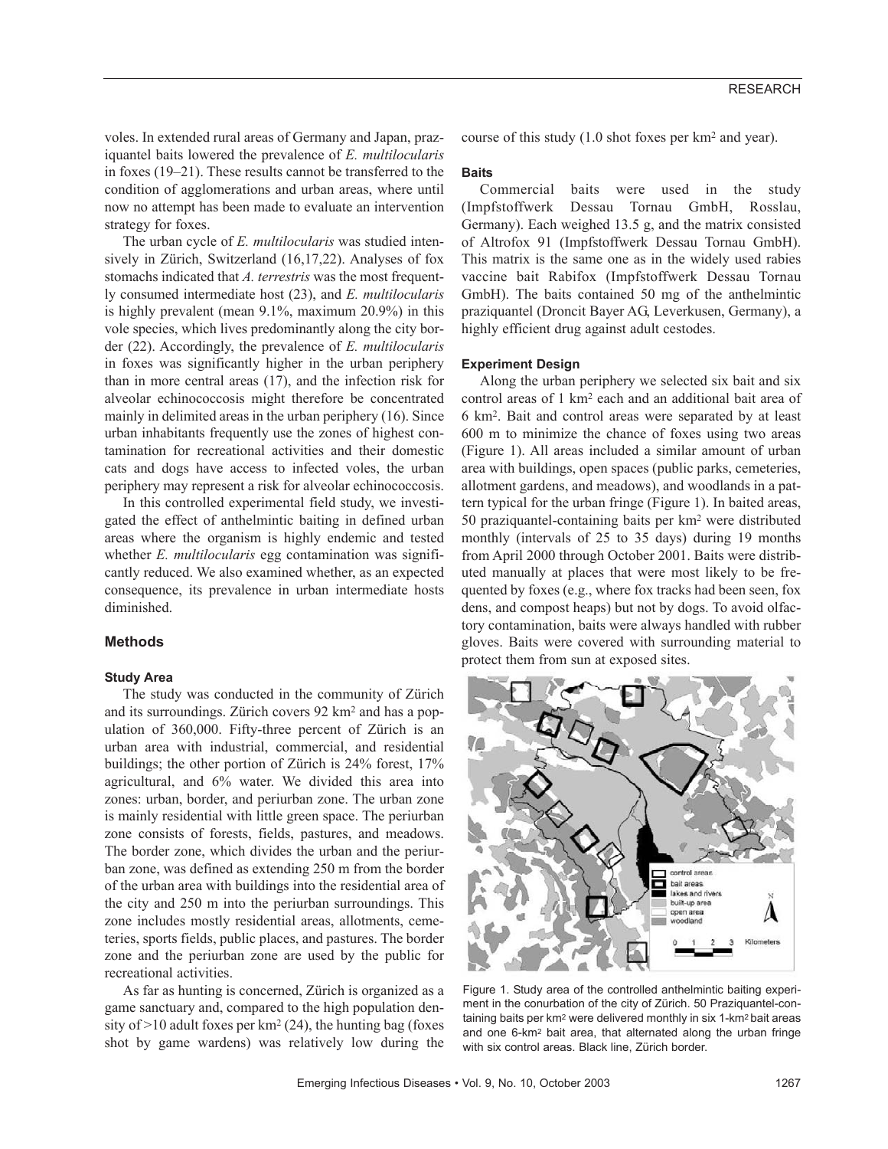voles. In extended rural areas of Germany and Japan, praziquantel baits lowered the prevalence of *E. multilocularis* in foxes (19–21). These results cannot be transferred to the condition of agglomerations and urban areas, where until now no attempt has been made to evaluate an intervention strategy for foxes.

The urban cycle of *E. multilocularis* was studied intensively in Zürich, Switzerland (16,17,22). Analyses of fox stomachs indicated that *A. terrestris* was the most frequently consumed intermediate host (23), and *E. multilocularis* is highly prevalent (mean 9.1%, maximum 20.9%) in this vole species, which lives predominantly along the city border (22). Accordingly, the prevalence of *E. multilocularis* in foxes was significantly higher in the urban periphery than in more central areas (17), and the infection risk for alveolar echinococcosis might therefore be concentrated mainly in delimited areas in the urban periphery (16). Since urban inhabitants frequently use the zones of highest contamination for recreational activities and their domestic cats and dogs have access to infected voles, the urban periphery may represent a risk for alveolar echinococcosis.

In this controlled experimental field study, we investigated the effect of anthelmintic baiting in defined urban areas where the organism is highly endemic and tested whether *E. multilocularis* egg contamination was significantly reduced. We also examined whether, as an expected consequence, its prevalence in urban intermediate hosts diminished.

# **Methods**

#### **Study Area**

The study was conducted in the community of Zürich and its surroundings. Zürich covers 92 km2 and has a population of 360,000. Fifty-three percent of Zürich is an urban area with industrial, commercial, and residential buildings; the other portion of Zürich is 24% forest, 17% agricultural, and 6% water. We divided this area into zones: urban, border, and periurban zone. The urban zone is mainly residential with little green space. The periurban zone consists of forests, fields, pastures, and meadows. The border zone, which divides the urban and the periurban zone, was defined as extending 250 m from the border of the urban area with buildings into the residential area of the city and 250 m into the periurban surroundings. This zone includes mostly residential areas, allotments, cemeteries, sports fields, public places, and pastures. The border zone and the periurban zone are used by the public for recreational activities.

As far as hunting is concerned, Zürich is organized as a game sanctuary and, compared to the high population density of  $>10$  adult foxes per km<sup>2</sup> (24), the hunting bag (foxes shot by game wardens) was relatively low during the

course of this study (1.0 shot foxes per km2 and year).

#### **Baits**

Commercial baits were used in the study (Impfstoffwerk Dessau Tornau GmbH, Rosslau, Germany). Each weighed 13.5 g, and the matrix consisted of Altrofox 91 (Impfstoffwerk Dessau Tornau GmbH). This matrix is the same one as in the widely used rabies vaccine bait Rabifox (Impfstoffwerk Dessau Tornau GmbH). The baits contained 50 mg of the anthelmintic praziquantel (Droncit Bayer AG, Leverkusen, Germany), a highly efficient drug against adult cestodes.

#### **Experiment Design**

Along the urban periphery we selected six bait and six control areas of 1 km2 each and an additional bait area of 6 km2. Bait and control areas were separated by at least 600 m to minimize the chance of foxes using two areas (Figure 1). All areas included a similar amount of urban area with buildings, open spaces (public parks, cemeteries, allotment gardens, and meadows), and woodlands in a pattern typical for the urban fringe (Figure 1). In baited areas, 50 praziquantel-containing baits per km2 were distributed monthly (intervals of 25 to 35 days) during 19 months from April 2000 through October 2001. Baits were distributed manually at places that were most likely to be frequented by foxes (e.g., where fox tracks had been seen, fox dens, and compost heaps) but not by dogs. To avoid olfactory contamination, baits were always handled with rubber gloves. Baits were covered with surrounding material to protect them from sun at exposed sites.



Figure 1. Study area of the controlled anthelmintic baiting experiment in the conurbation of the city of Zürich. 50 Praziquantel-containing baits per km2 were delivered monthly in six 1-km2 bait areas and one 6-km2 bait area, that alternated along the urban fringe with six control areas. Black line, Zürich border.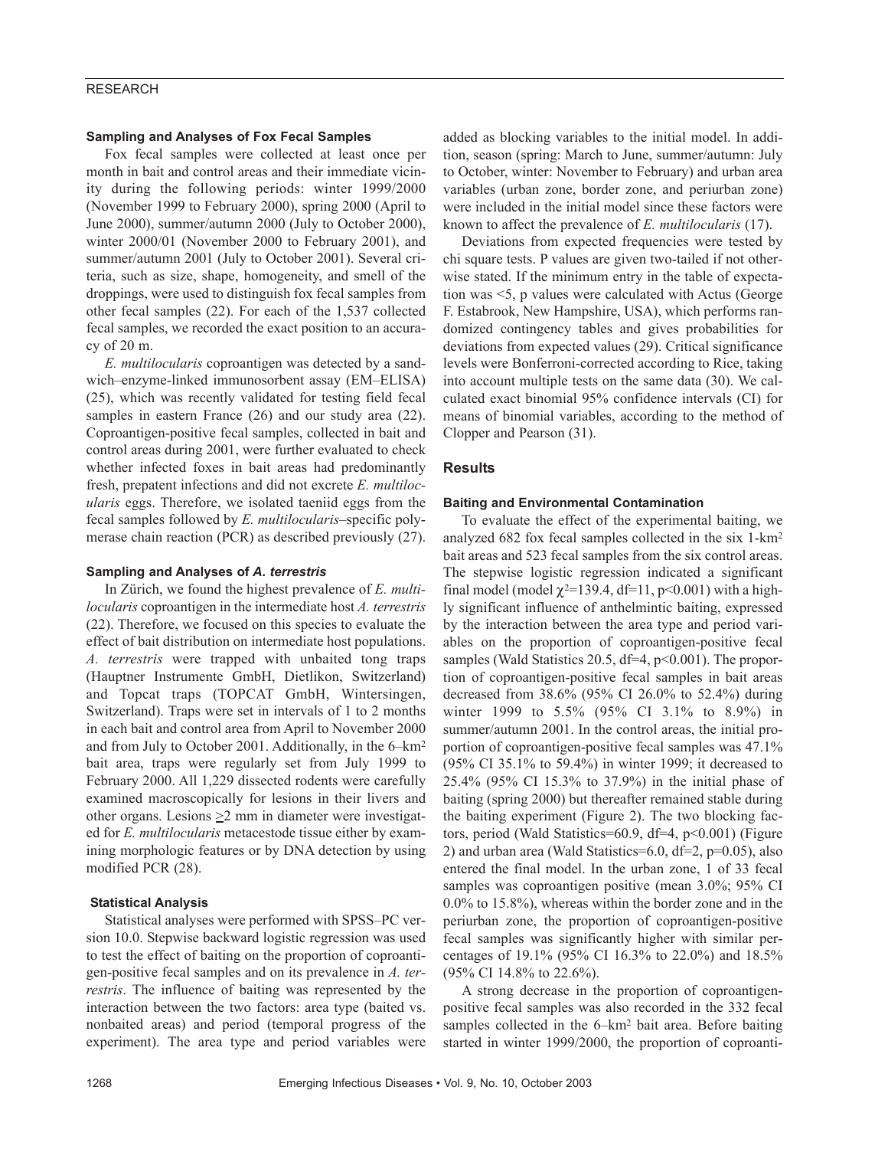# RESEARCH

# **Sampling and Analyses of Fox Fecal Samples**

Fox fecal samples were collected at least once per month in bait and control areas and their immediate vicinity during the following periods: winter 1999/2000 (November 1999 to February 2000), spring 2000 (April to June 2000), summer/autumn 2000 (July to October 2000), winter 2000/01 (November 2000 to February 2001), and summer/autumn 2001 (July to October 2001). Several criteria, such as size, shape, homogeneity, and smell of the droppings, were used to distinguish fox fecal samples from other fecal samples (22). For each of the 1,537 collected fecal samples, we recorded the exact position to an accuracy of 20 m.

*E. multilocularis* coproantigen was detected by a sandwich–enzyme-linked immunosorbent assay (EM–ELISA) (25), which was recently validated for testing field fecal samples in eastern France (26) and our study area (22). Coproantigen-positive fecal samples, collected in bait and control areas during 2001, were further evaluated to check whether infected foxes in bait areas had predominantly fresh, prepatent infections and did not excrete *E. multilocularis* eggs. Therefore, we isolated taeniid eggs from the fecal samples followed by *E. multilocularis*–specific polymerase chain reaction (PCR) as described previously (27).

# **Sampling and Analyses of** *A. terrestris*

In Zürich, we found the highest prevalence of *E. multilocularis* coproantigen in the intermediate host *A. terrestris* (22). Therefore, we focused on this species to evaluate the effect of bait distribution on intermediate host populations. *A. terrestris* were trapped with unbaited tong traps (Hauptner Instrumente GmbH, Dietlikon, Switzerland) and Topcat traps (TOPCAT GmbH, Wintersingen, Switzerland). Traps were set in intervals of 1 to 2 months in each bait and control area from April to November 2000 and from July to October 2001. Additionally, in the 6–km2 bait area, traps were regularly set from July 1999 to February 2000. All 1,229 dissected rodents were carefully examined macroscopically for lesions in their livers and other organs. Lesions >2 mm in diameter were investigated for *E. multilocularis* metacestode tissue either by examining morphologic features or by DNA detection by using modified PCR (28).

#### **Statistical Analysis**

Statistical analyses were performed with SPSS–PC version 10.0. Stepwise backward logistic regression was used to test the effect of baiting on the proportion of coproantigen-positive fecal samples and on its prevalence in *A. terrestris*. The influence of baiting was represented by the interaction between the two factors: area type (baited vs. nonbaited areas) and period (temporal progress of the experiment). The area type and period variables were

added as blocking variables to the initial model. In addition, season (spring: March to June, summer/autumn: July to October, winter: November to February) and urban area variables (urban zone, border zone, and periurban zone) were included in the initial model since these factors were known to affect the prevalence of *E. multilocularis* (17).

Deviations from expected frequencies were tested by chi square tests. P values are given two-tailed if not otherwise stated. If the minimum entry in the table of expectation was <5, p values were calculated with Actus (George F. Estabrook, New Hampshire, USA), which performs randomized contingency tables and gives probabilities for deviations from expected values (29). Critical significance levels were Bonferroni-corrected according to Rice, taking into account multiple tests on the same data (30). We calculated exact binomial 95% confidence intervals (CI) for means of binomial variables, according to the method of Clopper and Pearson (31).

### **Results**

#### **Baiting and Environmental Contamination**

To evaluate the effect of the experimental baiting, we analyzed 682 fox fecal samples collected in the six 1-km2 bait areas and 523 fecal samples from the six control areas. The stepwise logistic regression indicated a significant final model (model  $\chi^{2=139.4}$ , df=11, p<0.001) with a highly significant influence of anthelmintic baiting, expressed by the interaction between the area type and period variables on the proportion of coproantigen-positive fecal samples (Wald Statistics 20.5, df=4, p<0.001). The proportion of coproantigen-positive fecal samples in bait areas decreased from 38.6% (95% CI 26.0% to 52.4%) during winter 1999 to 5.5% (95% CI 3.1% to 8.9%) in summer/autumn 2001. In the control areas, the initial proportion of coproantigen-positive fecal samples was 47.1% (95% CI 35.1% to 59.4%) in winter 1999; it decreased to 25.4% (95% CI 15.3% to 37.9%) in the initial phase of baiting (spring 2000) but thereafter remained stable during the baiting experiment (Figure 2). The two blocking factors, period (Wald Statistics=60.9, df=4, p<0.001) (Figure 2) and urban area (Wald Statistics=6.0, df=2, p=0.05), also entered the final model. In the urban zone, 1 of 33 fecal samples was coproantigen positive (mean 3.0%; 95% CI 0.0% to 15.8%), whereas within the border zone and in the periurban zone, the proportion of coproantigen-positive fecal samples was significantly higher with similar percentages of 19.1% (95% CI 16.3% to 22.0%) and 18.5% (95% CI 14.8% to 22.6%).

A strong decrease in the proportion of coproantigenpositive fecal samples was also recorded in the 332 fecal samples collected in the 6–km<sup>2</sup> bait area. Before baiting started in winter 1999/2000, the proportion of coproanti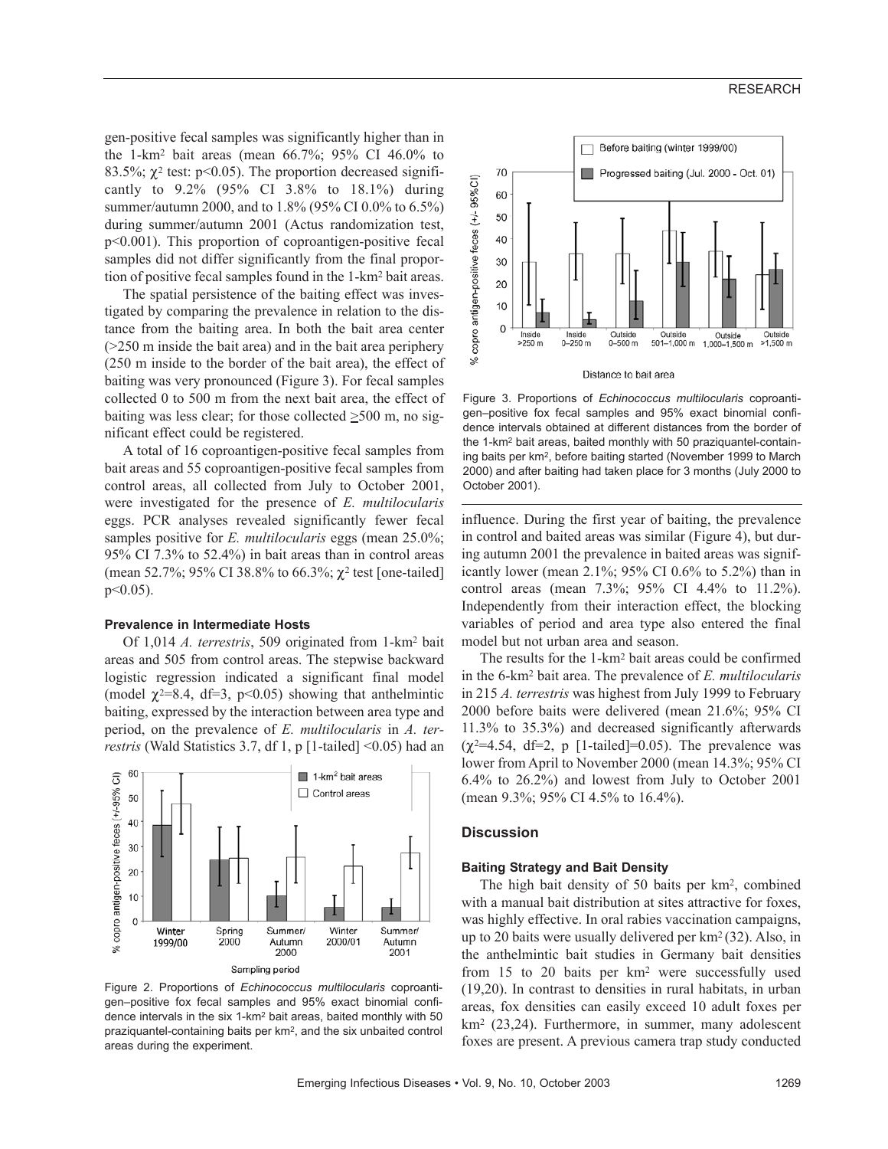gen-positive fecal samples was significantly higher than in the 1-km2 bait areas (mean 66.7%; 95% CI 46.0% to 83.5%;  $\chi^2$  test: p<0.05). The proportion decreased significantly to 9.2% (95% CI 3.8% to 18.1%) during summer/autumn 2000, and to 1.8% (95% CI 0.0% to 6.5%) during summer/autumn 2001 (Actus randomization test, p<0.001). This proportion of coproantigen-positive fecal samples did not differ significantly from the final proportion of positive fecal samples found in the 1-km2 bait areas.

The spatial persistence of the baiting effect was investigated by comparing the prevalence in relation to the distance from the baiting area. In both the bait area center (>250 m inside the bait area) and in the bait area periphery (250 m inside to the border of the bait area), the effect of baiting was very pronounced (Figure 3). For fecal samples collected 0 to 500 m from the next bait area, the effect of baiting was less clear; for those collected  $\geq 500$  m, no significant effect could be registered.

A total of 16 coproantigen-positive fecal samples from bait areas and 55 coproantigen-positive fecal samples from control areas, all collected from July to October 2001, were investigated for the presence of *E. multilocularis* eggs. PCR analyses revealed significantly fewer fecal samples positive for *E. multilocularis* eggs (mean 25.0%; 95% CI 7.3% to 52.4%) in bait areas than in control areas (mean 52.7%; 95% CI 38.8% to 66.3%; χ<sup>2</sup> test [one-tailed]  $p<0.05$ ).

#### **Prevalence in Intermediate Hosts**

Of 1,014 *A. terrestris*, 509 originated from 1-km2 bait areas and 505 from control areas. The stepwise backward logistic regression indicated a significant final model (model  $\chi^{2=8.4}$ , df=3, p<0.05) showing that anthelmintic baiting, expressed by the interaction between area type and period, on the prevalence of *E. multilocularis* in *A. terrestris* (Wald Statistics 3.7, df 1, p [1-tailed] <0.05) had an



Figure 2. Proportions of *Echinococcus multilocularis* coproantigen–positive fox fecal samples and 95% exact binomial confidence intervals in the six 1-km2 bait areas, baited monthly with 50 praziquantel-containing baits per km2, and the six unbaited control areas during the experiment.



Figure 3. Proportions of *Echinococcus multilocularis* coproantigen–positive fox fecal samples and 95% exact binomial confidence intervals obtained at different distances from the border of the 1-km2 bait areas, baited monthly with 50 praziquantel-containing baits per km2, before baiting started (November 1999 to March 2000) and after baiting had taken place for 3 months (July 2000 to October 2001).

influence. During the first year of baiting, the prevalence in control and baited areas was similar (Figure 4), but during autumn 2001 the prevalence in baited areas was significantly lower (mean 2.1%; 95% CI 0.6% to 5.2%) than in control areas (mean 7.3%; 95% CI 4.4% to 11.2%). Independently from their interaction effect, the blocking variables of period and area type also entered the final model but not urban area and season.

The results for the 1-km2 bait areas could be confirmed in the 6-km2 bait area. The prevalence of *E. multilocularis* in 215 *A. terrestris* was highest from July 1999 to February 2000 before baits were delivered (mean 21.6%; 95% CI 11.3% to 35.3%) and decreased significantly afterwards  $(\chi^2=4.54, df=2, p$  [1-tailed]=0.05). The prevalence was lower from April to November 2000 (mean 14.3%; 95% CI 6.4% to 26.2%) and lowest from July to October 2001 (mean 9.3%; 95% CI 4.5% to 16.4%).

# **Discussion**

## **Baiting Strategy and Bait Density**

The high bait density of 50 baits per km2, combined with a manual bait distribution at sites attractive for foxes, was highly effective. In oral rabies vaccination campaigns, up to 20 baits were usually delivered per km2 (32). Also, in the anthelmintic bait studies in Germany bait densities from 15 to 20 baits per km2 were successfully used (19,20). In contrast to densities in rural habitats, in urban areas, fox densities can easily exceed 10 adult foxes per km2 (23,24). Furthermore, in summer, many adolescent foxes are present. A previous camera trap study conducted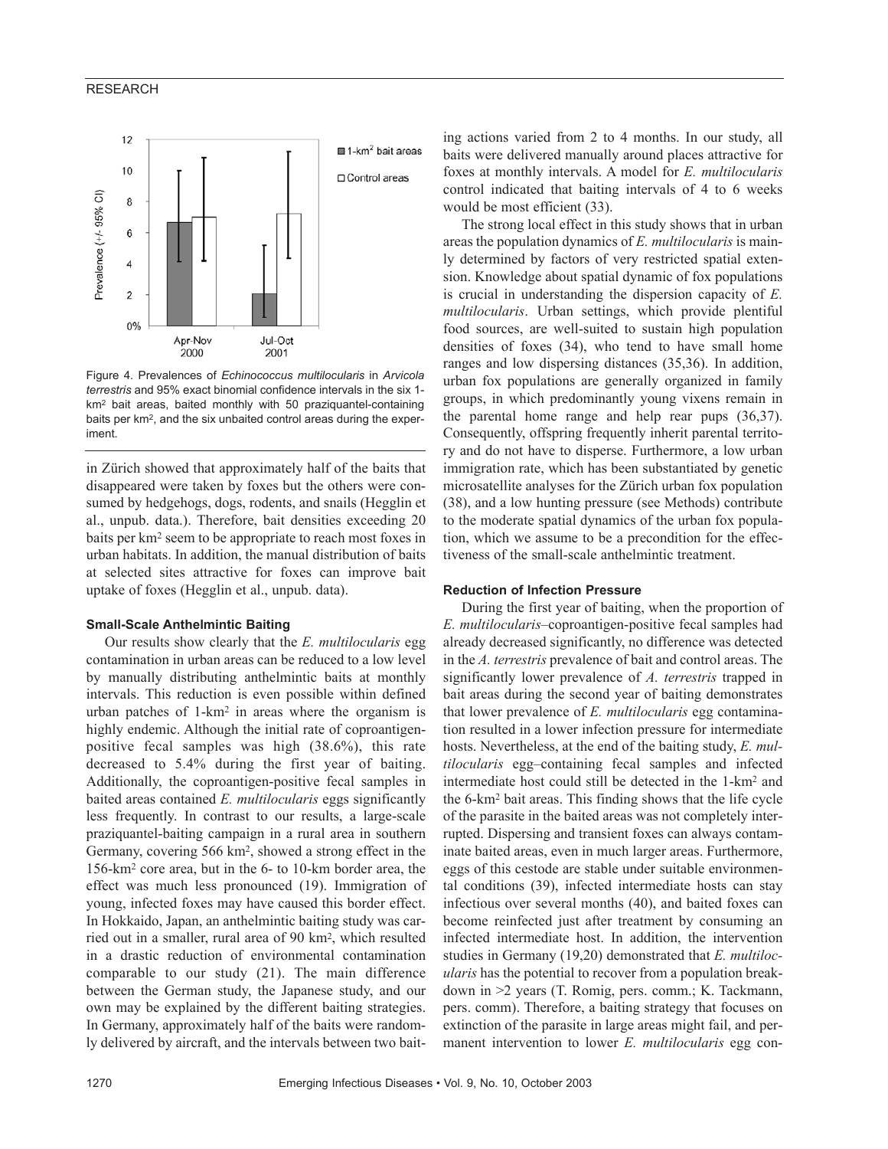# RESEARCH



Figure 4. Prevalences of *Echinococcus multilocularis* in *Arvicola terrestris* and 95% exact binomial confidence intervals in the six 1 km2 bait areas, baited monthly with 50 praziquantel-containing baits per km2, and the six unbaited control areas during the experiment.

in Zürich showed that approximately half of the baits that disappeared were taken by foxes but the others were consumed by hedgehogs, dogs, rodents, and snails (Hegglin et al., unpub. data.). Therefore, bait densities exceeding 20 baits per km2 seem to be appropriate to reach most foxes in urban habitats. In addition, the manual distribution of baits at selected sites attractive for foxes can improve bait uptake of foxes (Hegglin et al., unpub. data).

#### **Small-Scale Anthelmintic Baiting**

Our results show clearly that the *E. multilocularis* egg contamination in urban areas can be reduced to a low level by manually distributing anthelmintic baits at monthly intervals. This reduction is even possible within defined urban patches of 1-km2 in areas where the organism is highly endemic. Although the initial rate of coproantigenpositive fecal samples was high (38.6%), this rate decreased to 5.4% during the first year of baiting. Additionally, the coproantigen-positive fecal samples in baited areas contained *E. multilocularis* eggs significantly less frequently. In contrast to our results, a large-scale praziquantel-baiting campaign in a rural area in southern Germany, covering 566 km2, showed a strong effect in the 156-km2 core area, but in the 6- to 10-km border area, the effect was much less pronounced (19). Immigration of young, infected foxes may have caused this border effect. In Hokkaido, Japan, an anthelmintic baiting study was carried out in a smaller, rural area of 90 km2, which resulted in a drastic reduction of environmental contamination comparable to our study (21). The main difference between the German study, the Japanese study, and our own may be explained by the different baiting strategies. In Germany, approximately half of the baits were randomly delivered by aircraft, and the intervals between two bait-

ing actions varied from 2 to 4 months. In our study, all baits were delivered manually around places attractive for foxes at monthly intervals. A model for *E. multilocularis* control indicated that baiting intervals of 4 to 6 weeks would be most efficient (33).

The strong local effect in this study shows that in urban areas the population dynamics of *E. multilocularis* is mainly determined by factors of very restricted spatial extension. Knowledge about spatial dynamic of fox populations is crucial in understanding the dispersion capacity of *E. multilocularis*. Urban settings, which provide plentiful food sources, are well-suited to sustain high population densities of foxes (34), who tend to have small home ranges and low dispersing distances (35,36). In addition, urban fox populations are generally organized in family groups, in which predominantly young vixens remain in the parental home range and help rear pups (36,37). Consequently, offspring frequently inherit parental territory and do not have to disperse. Furthermore, a low urban immigration rate, which has been substantiated by genetic microsatellite analyses for the Zürich urban fox population (38), and a low hunting pressure (see Methods) contribute to the moderate spatial dynamics of the urban fox population, which we assume to be a precondition for the effectiveness of the small-scale anthelmintic treatment.

# **Reduction of Infection Pressure**

During the first year of baiting, when the proportion of *E. multilocularis*–coproantigen-positive fecal samples had already decreased significantly, no difference was detected in the *A. terrestris* prevalence of bait and control areas. The significantly lower prevalence of *A. terrestris* trapped in bait areas during the second year of baiting demonstrates that lower prevalence of *E. multilocularis* egg contamination resulted in a lower infection pressure for intermediate hosts. Nevertheless, at the end of the baiting study, *E. multilocularis* egg–containing fecal samples and infected intermediate host could still be detected in the 1-km2 and the 6-km2 bait areas. This finding shows that the life cycle of the parasite in the baited areas was not completely interrupted. Dispersing and transient foxes can always contaminate baited areas, even in much larger areas. Furthermore, eggs of this cestode are stable under suitable environmental conditions (39), infected intermediate hosts can stay infectious over several months (40), and baited foxes can become reinfected just after treatment by consuming an infected intermediate host. In addition, the intervention studies in Germany (19,20) demonstrated that *E. multilocularis* has the potential to recover from a population breakdown in >2 years (T. Romig, pers. comm.; K. Tackmann, pers. comm). Therefore, a baiting strategy that focuses on extinction of the parasite in large areas might fail, and permanent intervention to lower *E. multilocularis* egg con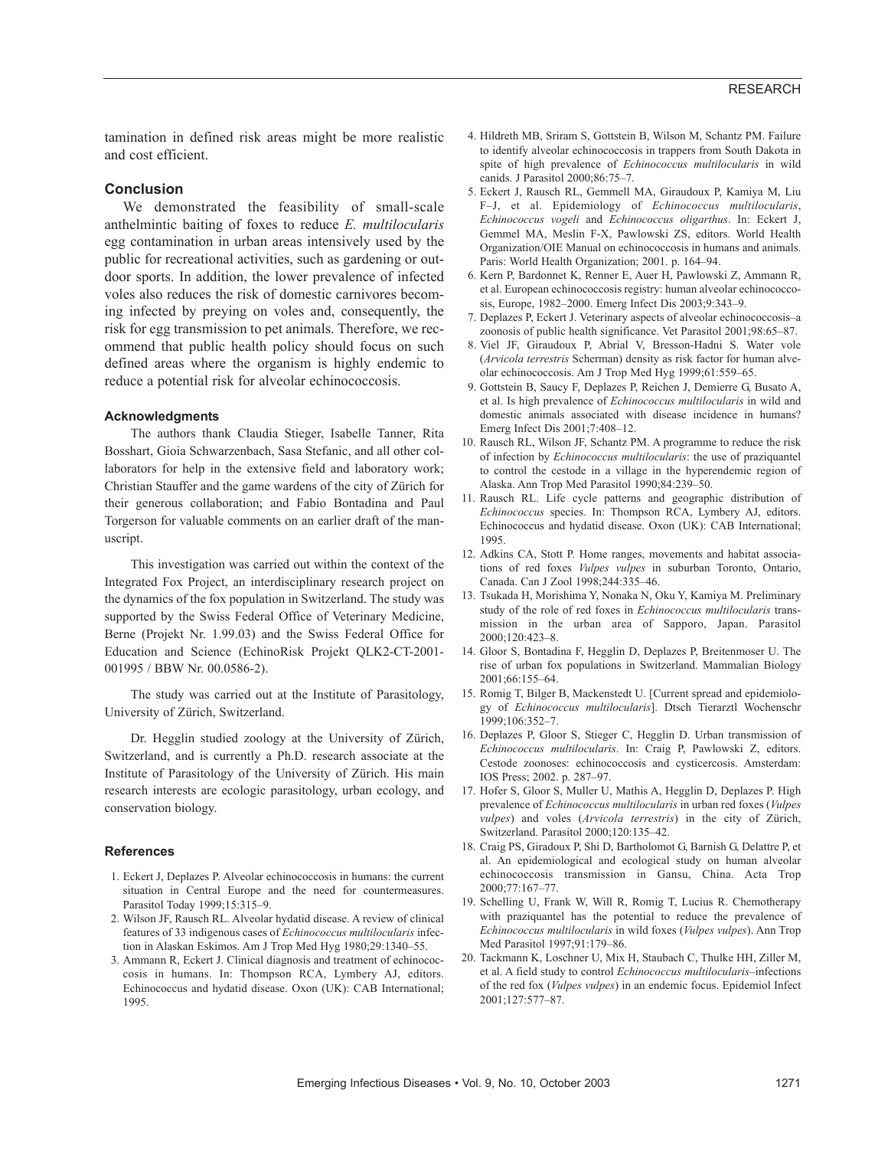tamination in defined risk areas might be more realistic and cost efficient.

# **Conclusion**

We demonstrated the feasibility of small-scale anthelmintic baiting of foxes to reduce *E. multilocularis* egg contamination in urban areas intensively used by the public for recreational activities, such as gardening or outdoor sports. In addition, the lower prevalence of infected voles also reduces the risk of domestic carnivores becoming infected by preying on voles and, consequently, the risk for egg transmission to pet animals. Therefore, we recommend that public health policy should focus on such defined areas where the organism is highly endemic to reduce a potential risk for alveolar echinococcosis.

#### **Acknowledgments**

The authors thank Claudia Stieger, Isabelle Tanner, Rita Bosshart, Gioia Schwarzenbach, Sasa Stefanic, and all other collaborators for help in the extensive field and laboratory work; Christian Stauffer and the game wardens of the city of Zürich for their generous collaboration; and Fabio Bontadina and Paul Torgerson for valuable comments on an earlier draft of the manuscript.

This investigation was carried out within the context of the Integrated Fox Project, an interdisciplinary research project on the dynamics of the fox population in Switzerland. The study was supported by the Swiss Federal Office of Veterinary Medicine, Berne (Projekt Nr. 1.99.03) and the Swiss Federal Office for Education and Science (EchinoRisk Projekt QLK2-CT-2001- 001995 / BBW Nr. 00.0586-2).

The study was carried out at the Institute of Parasitology, University of Zürich, Switzerland.

Dr. Hegglin studied zoology at the University of Zürich, Switzerland, and is currently a Ph.D. research associate at the Institute of Parasitology of the University of Zürich. His main research interests are ecologic parasitology, urban ecology, and conservation biology.

## **References**

- 1. Eckert J, Deplazes P. Alveolar echinococcosis in humans: the current situation in Central Europe and the need for countermeasures. Parasitol Today 1999;15:315–9.
- 2. Wilson JF, Rausch RL. Alveolar hydatid disease. A review of clinical features of 33 indigenous cases of *Echinococcus multilocularis* infection in Alaskan Eskimos. Am J Trop Med Hyg 1980;29:1340–55.
- 3. Ammann R, Eckert J. Clinical diagnosis and treatment of echinococcosis in humans. In: Thompson RCA, Lymbery AJ, editors. Echinococcus and hydatid disease. Oxon (UK): CAB International; 1995.
- 4. Hildreth MB, Sriram S, Gottstein B, Wilson M, Schantz PM. Failure to identify alveolar echinococcosis in trappers from South Dakota in spite of high prevalence of *Echinococcus multilocularis* in wild canids. J Parasitol 2000;86:75–7.
- 5. Eckert J, Rausch RL, Gemmell MA, Giraudoux P, Kamiya M, Liu F–J, et al. Epidemiology of *Echinococcus multilocularis*, *Echinococcus vogeli* and *Echinococcus oligarthus*. In: Eckert J, Gemmel MA, Meslin F-X, Pawlowski ZS, editors. World Health Organization/OIE Manual on echinococcosis in humans and animals. Paris: World Health Organization; 2001. p. 164–94.
- 6. Kern P, Bardonnet K, Renner E, Auer H, Pawlowski Z, Ammann R, et al. European echinococcosis registry: human alveolar echinococcosis, Europe, 1982–2000. Emerg Infect Dis 2003;9:343–9.
- 7. Deplazes P, Eckert J. Veterinary aspects of alveolar echinococcosis–a zoonosis of public health significance. Vet Parasitol 2001;98:65–87.
- 8. Viel JF, Giraudoux P, Abrial V, Bresson-Hadni S. Water vole (*Arvicola terrestris* Scherman) density as risk factor for human alveolar echinococcosis. Am J Trop Med Hyg 1999;61:559–65.
- 9. Gottstein B, Saucy F, Deplazes P, Reichen J, Demierre G, Busato A, et al. Is high prevalence of *Echinococcus multilocularis* in wild and domestic animals associated with disease incidence in humans? Emerg Infect Dis 2001;7:408–12.
- 10. Rausch RL, Wilson JF, Schantz PM. A programme to reduce the risk of infection by *Echinococcus multilocularis*: the use of praziquantel to control the cestode in a village in the hyperendemic region of Alaska. Ann Trop Med Parasitol 1990;84:239–50.
- 11. Rausch RL. Life cycle patterns and geographic distribution of *Echinococcus* species. In: Thompson RCA, Lymbery AJ, editors. Echinococcus and hydatid disease. Oxon (UK): CAB International; 1995.
- 12. Adkins CA, Stott P. Home ranges, movements and habitat associations of red foxes *Vulpes vulpes* in suburban Toronto, Ontario, Canada. Can J Zool 1998;244:335–46.
- 13. Tsukada H, Morishima Y, Nonaka N, Oku Y, Kamiya M. Preliminary study of the role of red foxes in *Echinococcus multilocularis* transmission in the urban area of Sapporo, Japan. Parasitol 2000;120:423–8.
- 14. Gloor S, Bontadina F, Hegglin D, Deplazes P, Breitenmoser U. The rise of urban fox populations in Switzerland. Mammalian Biology 2001;66:155–64.
- 15. Romig T, Bilger B, Mackenstedt U. [Current spread and epidemiology of *Echinococcus multilocularis*]. Dtsch Tierarztl Wochenschr 1999;106:352–7.
- 16. Deplazes P, Gloor S, Stieger C, Hegglin D. Urban transmission of *Echinococcus multilocularis*. In: Craig P, Pawlowski Z, editors. Cestode zoonoses: echinococcosis and cysticercosis. Amsterdam: IOS Press; 2002. p. 287–97.
- 17. Hofer S, Gloor S, Muller U, Mathis A, Hegglin D, Deplazes P. High prevalence of *Echinococcus multilocularis* in urban red foxes (*Vulpes vulpes*) and voles (*Arvicola terrestris*) in the city of Zürich, Switzerland. Parasitol 2000;120:135–42.
- 18. Craig PS, Giradoux P, Shi D, Bartholomot G, Barnish G, Delattre P, et al. An epidemiological and ecological study on human alveolar echinococcosis transmission in Gansu, China. Acta Trop 2000;77:167–77.
- 19. Schelling U, Frank W, Will R, Romig T, Lucius R. Chemotherapy with praziquantel has the potential to reduce the prevalence of *Echinococcus multilocularis* in wild foxes (*Vulpes vulpes*). Ann Trop Med Parasitol 1997;91:179–86.
- 20. Tackmann K, Loschner U, Mix H, Staubach C, Thulke HH, Ziller M, et al. A field study to control *Echinococcus multilocularis*–infections of the red fox (*Vulpes vulpes*) in an endemic focus. Epidemiol Infect 2001;127:577–87.